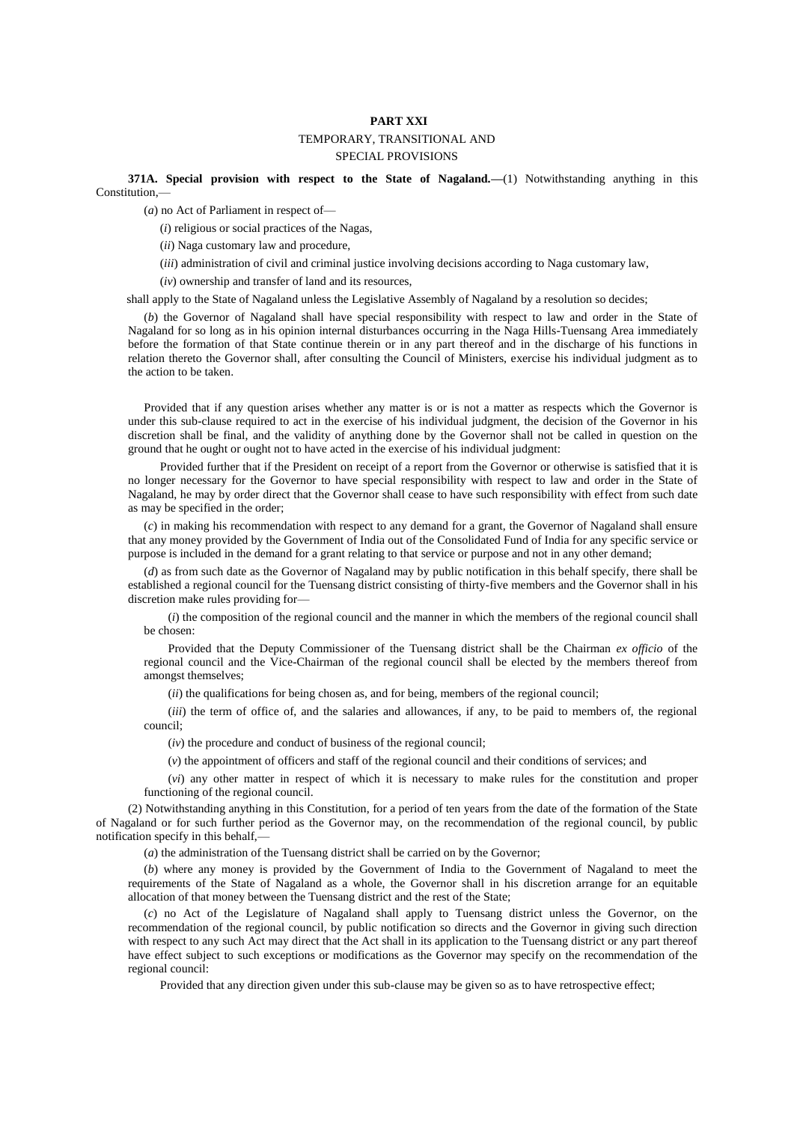## **PART XXI**  TEMPORARY, TRANSITIONAL AND SPECIAL PROVISIONS

**371A. Special provision with respect to the State of Nagaland.—**(1) Notwithstanding anything in this Constitution,—

(*a*) no Act of Parliament in respect of—

- (*i*) religious or social practices of the Nagas,
- (*ii*) Naga customary law and procedure,
- (*iii*) administration of civil and criminal justice involving decisions according to Naga customary law,

(*iv*) ownership and transfer of land and its resources,

shall apply to the State of Nagaland unless the Legislative Assembly of Nagaland by a resolution so decides;

(*b*) the Governor of Nagaland shall have special responsibility with respect to law and order in the State of Nagaland for so long as in his opinion internal disturbances occurring in the Naga Hills-Tuensang Area immediately before the formation of that State continue therein or in any part thereof and in the discharge of his functions in relation thereto the Governor shall, after consulting the Council of Ministers, exercise his individual judgment as to the action to be taken.

Provided that if any question arises whether any matter is or is not a matter as respects which the Governor is under this sub-clause required to act in the exercise of his individual judgment, the decision of the Governor in his discretion shall be final, and the validity of anything done by the Governor shall not be called in question on the ground that he ought or ought not to have acted in the exercise of his individual judgment:

Provided further that if the President on receipt of a report from the Governor or otherwise is satisfied that it is no longer necessary for the Governor to have special responsibility with respect to law and order in the State of Nagaland, he may by order direct that the Governor shall cease to have such responsibility with effect from such date as may be specified in the order;

(*c*) in making his recommendation with respect to any demand for a grant, the Governor of Nagaland shall ensure that any money provided by the Government of India out of the Consolidated Fund of India for any specific service or purpose is included in the demand for a grant relating to that service or purpose and not in any other demand;

(*d*) as from such date as the Governor of Nagaland may by public notification in this behalf specify, there shall be established a regional council for the Tuensang district consisting of thirty-five members and the Governor shall in his discretion make rules providing for—

(*i*) the composition of the regional council and the manner in which the members of the regional council shall be chosen:

Provided that the Deputy Commissioner of the Tuensang district shall be the Chairman *ex officio* of the regional council and the Vice-Chairman of the regional council shall be elected by the members thereof from amongst themselves;

(*ii*) the qualifications for being chosen as, and for being, members of the regional council;

(*iii*) the term of office of, and the salaries and allowances, if any, to be paid to members of, the regional council;

(*iv*) the procedure and conduct of business of the regional council;

(*v*) the appointment of officers and staff of the regional council and their conditions of services; and

(*vi*) any other matter in respect of which it is necessary to make rules for the constitution and proper functioning of the regional council.

(2) Notwithstanding anything in this Constitution, for a period of ten years from the date of the formation of the State of Nagaland or for such further period as the Governor may, on the recommendation of the regional council, by public notification specify in this behalf,—

(*a*) the administration of the Tuensang district shall be carried on by the Governor;

(*b*) where any money is provided by the Government of India to the Government of Nagaland to meet the requirements of the State of Nagaland as a whole, the Governor shall in his discretion arrange for an equitable allocation of that money between the Tuensang district and the rest of the State;

(*c*) no Act of the Legislature of Nagaland shall apply to Tuensang district unless the Governor, on the recommendation of the regional council, by public notification so directs and the Governor in giving such direction with respect to any such Act may direct that the Act shall in its application to the Tuensang district or any part thereof have effect subject to such exceptions or modifications as the Governor may specify on the recommendation of the regional council:

Provided that any direction given under this sub-clause may be given so as to have retrospective effect;